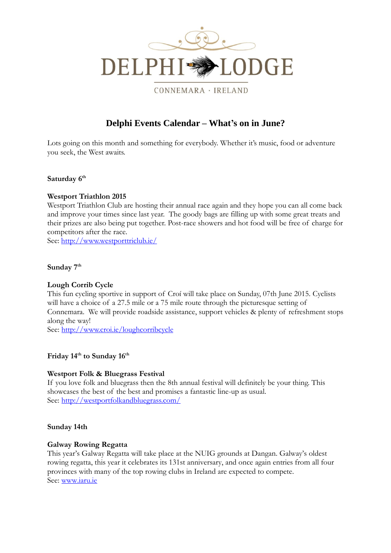

CONNEMARA · IRELAND

# **Delphi Events Calendar – What's on in June?**

Lots going on this month and something for everybody. Whether it's music, food or adventure you seek, the West awaits.

## **Saturday 6th**

## **Westport Triathlon 2015**

Westport Triathlon Club are hosting their annual race again and they hope you can all come back and improve your times since last year. The goody bags are filling up with some great treats and their prizes are also being put together. Post-race showers and hot food will be free of charge for competitors after the race.

See: <http://www.westporttriclub.ie/>

## **Sunday 7 th**

## **Lough Corrib Cycle**

This fun cycling sportive in support of Croí will take place on Sunday, 07th June 2015. Cyclists will have a choice of a 27.5 mile or a 75 mile route through the picturesque setting of Connemara. We will provide roadside assistance, support vehicles & plenty of refreshment stops along the way!

See: <http://www.croi.ie/loughcorribcycle>

## **Friday 14 th to Sunday 16th**

## **Westport Folk & Bluegrass Festival**

If you love folk and bluegrass then the 8th annual festival will definitely be your thing. This showcases the best of the best and promises a fantastic line-up as usual. See:<http://westportfolkandbluegrass.com/>

#### **Sunday 14th**

#### **Galway Rowing Regatta**

This year's Galway Regatta will take place at the NUIG grounds at Dangan. Galway's oldest rowing regatta, this year it celebrates its 131st anniversary, and once again entries from all four provinces with many of the top rowing clubs in Ireland are expected to compete. See: [www.iaru.ie](http://www.iaru.ie/)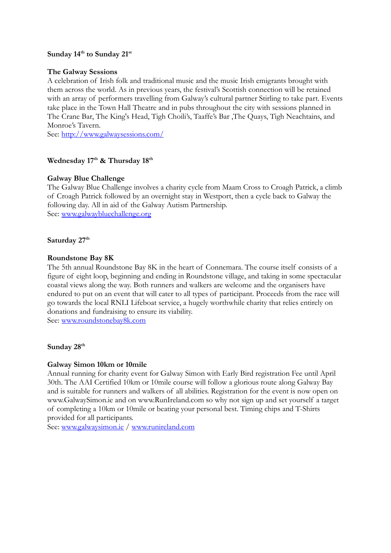# **Sunday 14 th to Sunday 21st**

#### **The Galway Sessions**

A celebration of Irish folk and traditional music and the music Irish emigrants brought with them across the world. As in previous years, the festival's Scottish connection will be retained with an array of performers travelling from Galway's cultural partner Stirling to take part. Events take place in the Town Hall Theatre and in pubs throughout the city with sessions planned in The Crane Bar, The King's Head, Tigh Choili's, Taaffe's Bar ,The Quays, Tigh Neachtains, and Monroe's Tavern.

See: <http://www.galwaysessions.com/>

## **Wednesday 17th & Thursday 18th**

## **Galway Blue Challenge**

The Galway Blue Challenge involves a charity cycle from Maam Cross to Croagh Patrick, a climb of Croagh Patrick followed by an overnight stay in Westport, then a cycle back to Galway the following day. All in aid of the Galway Autism Partnership. See: [www.galwaybluechallenge.org](http://www.galwaybluechallenge.org/)

#### **Saturday 27th**

#### **Roundstone Bay 8K**

The 5th annual Roundstone Bay 8K in the heart of Connemara. The course itself consists of a figure of eight loop, beginning and ending in Roundstone village, and taking in some spectacular coastal views along the way. Both runners and walkers are welcome and the organisers have endured to put on an event that will cater to all types of participant. Proceeds from the race will go towards the local RNLI Lifeboat service, a hugely worthwhile charity that relies entirely on donations and fundraising to ensure its viability. See: [www.roundstonebay8k.com](http://www.roundstonebay8k.com/)

#### **Sunday 28th**

## **Galway Simon 10km or 10mile**

Annual running for charity event for Galway Simon with Early Bird registration Fee until April 30th. The AAI Certified 10km or 10mile course will follow a glorious route along Galway Bay and is suitable for runners and walkers of all abilities. Registration for the event is now open on www.GalwaySimon.ie and on www.RunIreland.com so why not sign up and set yourself a target of completing a 10km or 10mile or beating your personal best. Timing chips and T-Shirts provided for all participants.

See: [www.galwaysimon.ie](http://www.galwaysimon.ie/) / [www.runireland.com](http://www.runireland.com/)